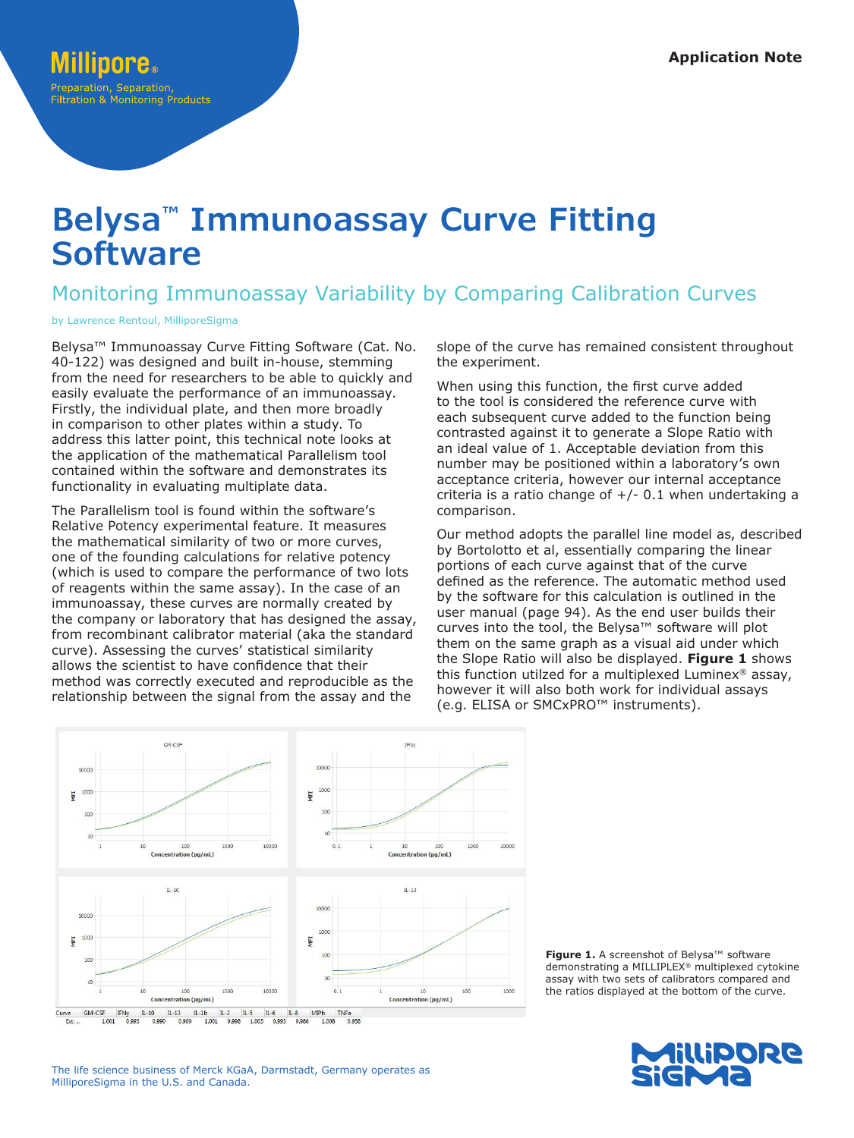# **Belysa™ Immunoassay Curve Fitting Software**

## Monitoring Immunoassay Variability by Comparing Calibration Curves

by Lawrence Rentoul, MilliporeSigma

Belysa™ Immunoassay Curve Fitting Software (Cat. No. 40-122) was designed and built in-house, stemming from the need for researchers to be able to quickly and easily evaluate the performance of an immunoassay. Firstly, the individual plate, and then more broadly in comparison to other plates within a study. To address this latter point, this technical note looks at the application of the mathematical Parallelism tool contained within the software and demonstrates its functionality in evaluating multiplate data.

The Parallelism tool is found within the software's Relative Potency experimental feature. It measures the mathematical similarity of two or more curves, one of the founding calculations for relative potency (which is used to compare the performance of two lots of reagents within the same assay). In the case of an immunoassay, these curves are normally created by the company or laboratory that has designed the assay, from recombinant calibrator material (aka the standard curve). Assessing the curves' statistical similarity allows the scientist to have confidence that their method was correctly executed and reproducible as the relationship between the signal from the assay and the

slope of the curve has remained consistent throughout the experiment.

When using this function, the first curve added to the tool is considered the reference curve with each subsequent curve added to the function being contrasted against it to generate a Slope Ratio with an ideal value of 1. Acceptable deviation from this number may be positioned within a laboratory's own acceptance criteria, however our internal acceptance criteria is a ratio change of  $+/- 0.1$  when undertaking a comparison.

Our method adopts the parallel line model as, described by Bortolotto et al, essentially comparing the linear portions of each curve against that of the curve defined as the reference. The automatic method used by the software for this calculation is outlined in the user manual (page 94). As the end user builds their curves into the tool, the Belysa™ software will plot them on the same graph as a visual aid under which the Slope Ratio will also be displayed. **Figure 1** shows this function utilzed for a multiplexed Luminex® assay, however it will also both work for individual assays (e.g. ELISA or SMCxPRO™ instruments).



**Figure 1.** A screenshot of Belysa™ software demonstrating a MILLIPLEX® multiplexed cytokine assay with two sets of calibrators compared and the ratios displayed at the bottom of the curve.



The life science business of Merck KGaA, Darmstadt, Germany operates as MilliporeSigma in the U.S. and Canada.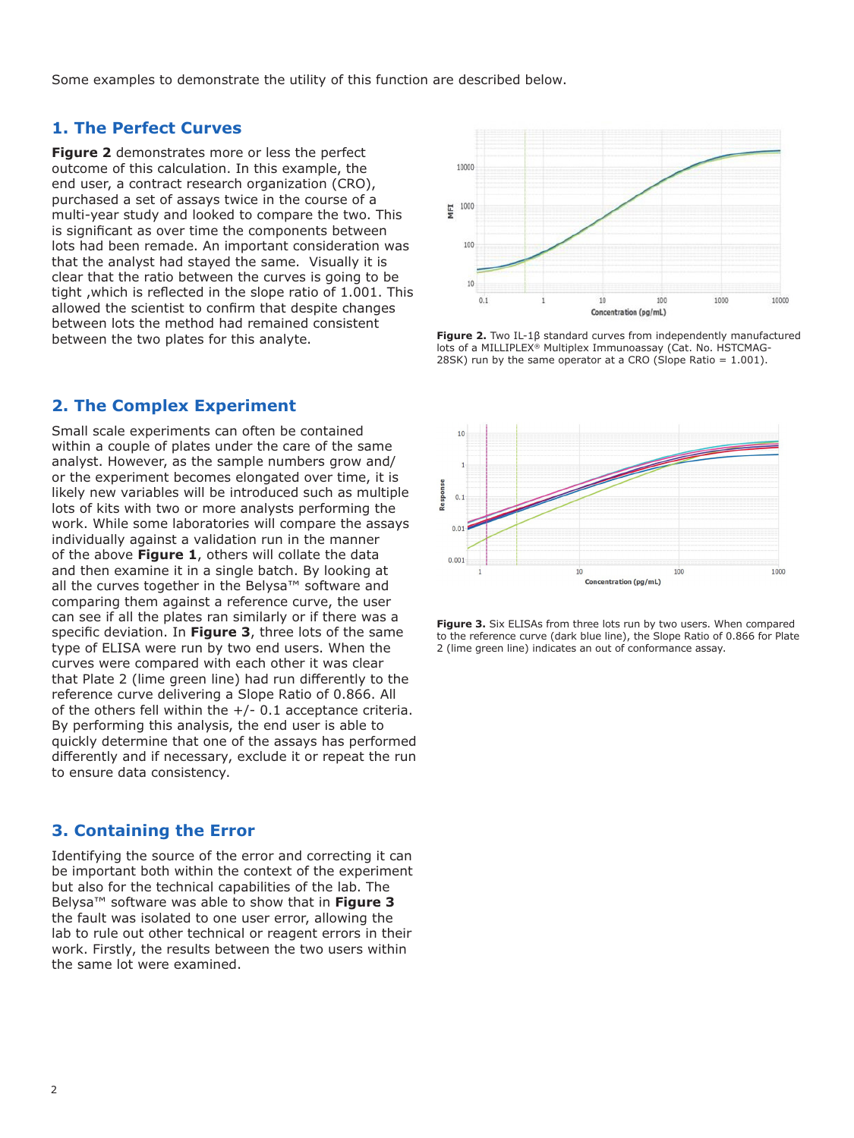Some examples to demonstrate the utility of this function are described below.

#### **1. The Perfect Curves**

**Figure 2** demonstrates more or less the perfect outcome of this calculation. In this example, the end user, a contract research organization (CRO), purchased a set of assays twice in the course of a multi-year study and looked to compare the two. This is significant as over time the components between lots had been remade. An important consideration was that the analyst had stayed the same. Visually it is clear that the ratio between the curves is going to be tight ,which is reflected in the slope ratio of 1.001. This allowed the scientist to confirm that despite changes between lots the method had remained consistent between the two plates for this analyte.

#### **2. The Complex Experiment**

Small scale experiments can often be contained within a couple of plates under the care of the same analyst. However, as the sample numbers grow and/ or the experiment becomes elongated over time, it is likely new variables will be introduced such as multiple lots of kits with two or more analysts performing the work. While some laboratories will compare the assays individually against a validation run in the manner of the above **Figure 1**, others will collate the data and then examine it in a single batch. By looking at all the curves together in the Belysa™ software and comparing them against a reference curve, the user can see if all the plates ran similarly or if there was a specific deviation. In **Figure 3**, three lots of the same type of ELISA were run by two end users. When the curves were compared with each other it was clear that Plate 2 (lime green line) had run differently to the reference curve delivering a Slope Ratio of 0.866. All of the others fell within the  $+/-$  0.1 acceptance criteria. By performing this analysis, the end user is able to quickly determine that one of the assays has performed differently and if necessary, exclude it or repeat the run to ensure data consistency.

### **3. Containing the Error**

Identifying the source of the error and correcting it can be important both within the context of the experiment but also for the technical capabilities of the lab. The Belysa™ software was able to show that in **Figure 3** the fault was isolated to one user error, allowing the lab to rule out other technical or reagent errors in their work. Firstly, the results between the two users within the same lot were examined.



**Figure 2.** Two IL-1β standard curves from independently manufactured lots of a MILLIPLEX® Multiplex Immunoassay (Cat. No. HSTCMAG-28SK) run by the same operator at a CRO (Slope Ratio  $= 1.001$ ).



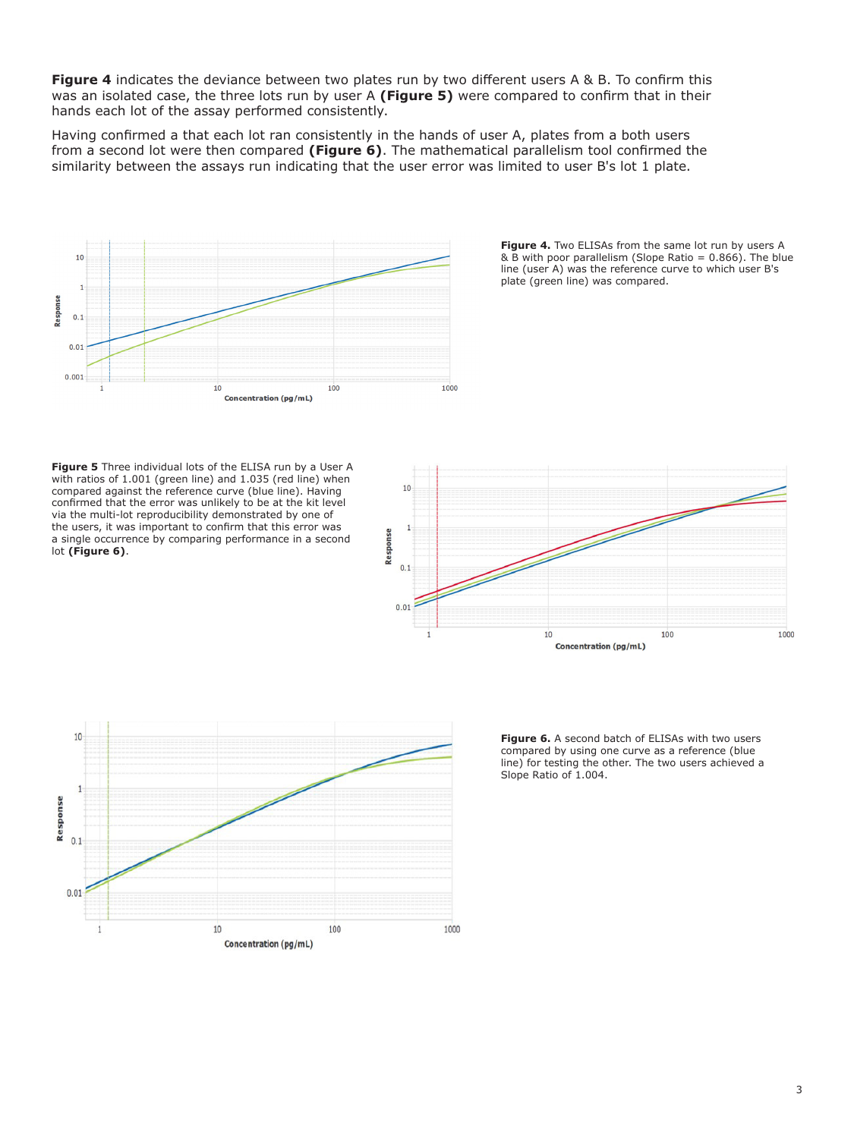**Figure 4** indicates the deviance between two plates run by two different users A & B. To confirm this was an isolated case, the three lots run by user A **(Figure 5)** were compared to confirm that in their hands each lot of the assay performed consistently.

Having confirmed a that each lot ran consistently in the hands of user A, plates from a both users from a second lot were then compared **(Figure 6)**. The mathematical parallelism tool confirmed the similarity between the assays run indicating that the user error was limited to user B's lot 1 plate.



Figure 4. Two ELISAs from the same lot run by users A & B with poor parallelism (Slope Ratio = 0.866). The blue line (user A) was the reference curve to which user B's plate (green line) was compared.

**Figure 5** Three individual lots of the ELISA run by a User A with ratios of 1.001 (green line) and 1.035 (red line) when compared against the reference curve (blue line). Having confirmed that the error was unlikely to be at the kit level via the multi-lot reproducibility demonstrated by one of the users, it was important to confirm that this error was a single occurrence by comparing performance in a second lot **(Figure 6)**.





**Figure 6.** A second batch of ELISAs with two users compared by using one curve as a reference (blue line) for testing the other. The two users achieved a Slope Ratio of 1.004.